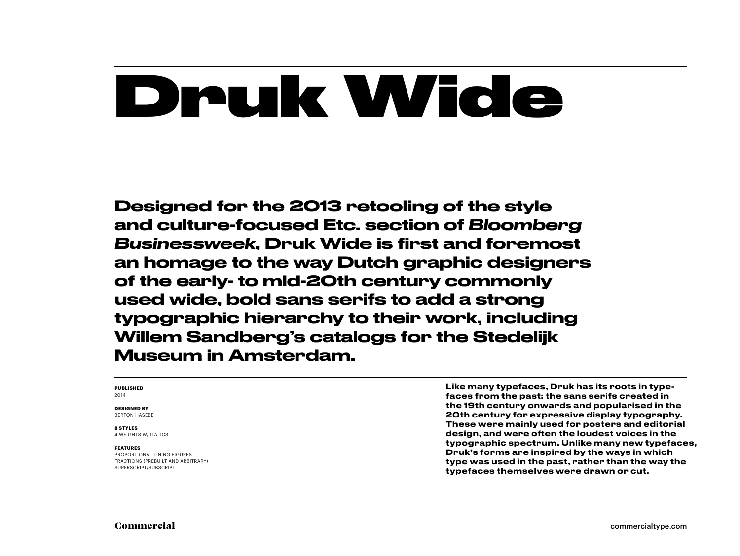# Druk Wide

Designed for the 2013 retooling of the style and culture-focused Etc. section of *Bloomberg Businessweek*, Druk Wide is first and foremost an homage to the way Dutch graphic designers of the early- to mid-20th century commonly used wide, bold sans serifs to add a strong typographic hierarchy to their work, including Willem Sandberg's catalogs for the Stedelijk Museum in Amsterdam.

#### **PUBLISHED** 2014

**DESIGNED BY**

BERTON HASEBE

#### **8 STYLES**

4 WEIGHTS W/ ITALICS

#### **FEATURES**

PROPORTIONAL LINING FIGURES FRACTIONS (PREBUILT AND ARBITRARY) SUPERSCRIPT/SUBSCRIPT

Like many typefaces, Druk has its roots in typefaces from the past: the sans serifs created in the 19th century onwards and popularised in the 20th century for expressive display typography. These were mainly used for posters and editorial design, and were often the loudest voices in the typographic spectrum. Unlike many new typefaces, Druk's forms are inspired by the ways in which type was used in the past, rather than the way the typefaces themselves were drawn or cut.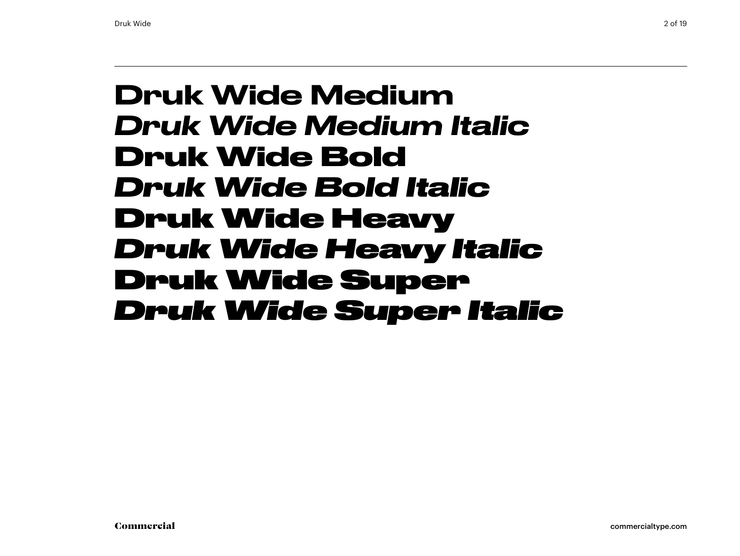### Druk Wide Medium *Druk Wide Medium Italic* **Druk Wide Bold** *Druk Wide Bold Italic* Druk Wide Heavy *Druk Wide Heavy Italic* Druk Wide Super *Druk Wide Super Italic*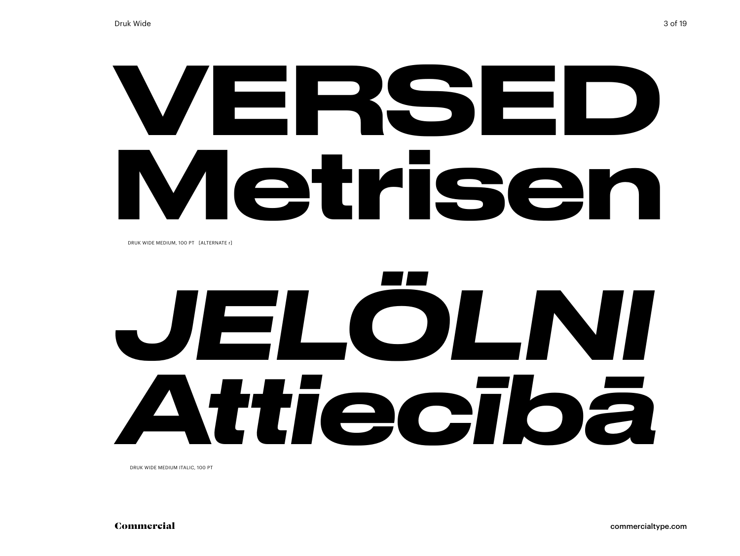# VERSED Metrisel

DRUK WIDE MEDIUM, 100 PT [AITERNATE r]

# JELOLNI ttiecībā

DRUK WIDE MEDIUM ITALIC, 100 PT

Commercial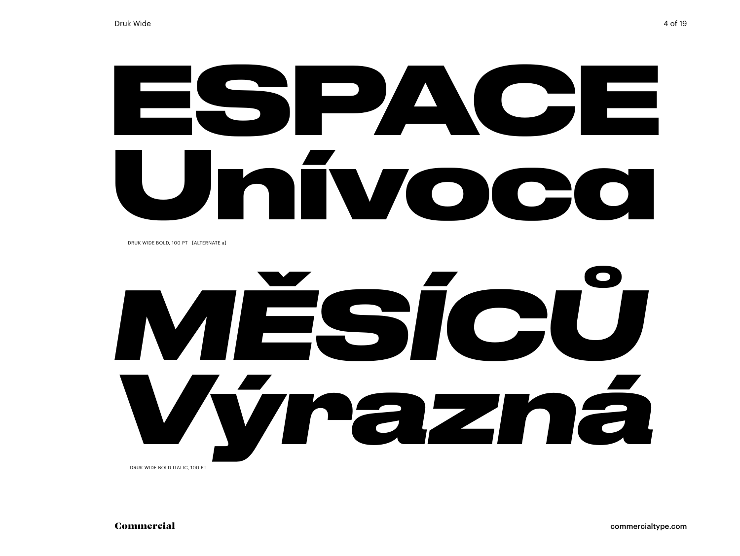## ESPACE mivo **A** IC COM

DRUK WIDE BOLD, 100 PT [ALTERNATE a]

# MĚSÍCŮ Výrazná DRUK WIDE BOLD ITALIC, 100 PT

Commercial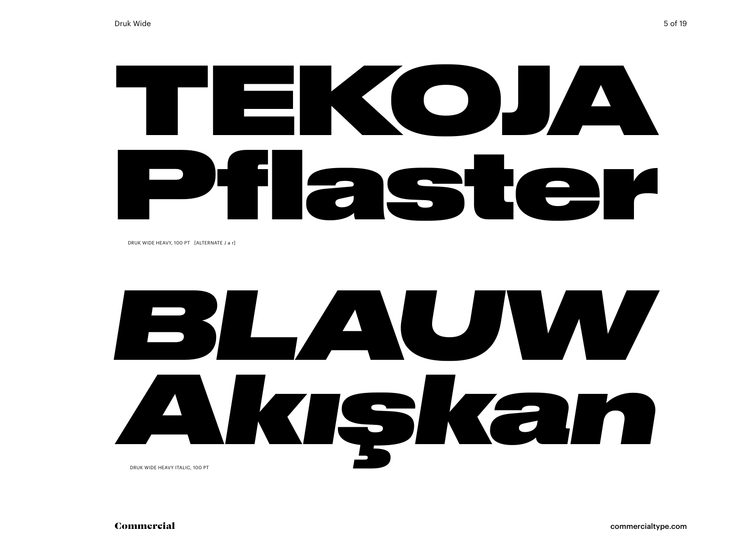# TEKOJA Pflaster

DRUK WIDE HEAVY, 100 PT [ALTERNATE J a r]

# *BLAUW Akışkan* DRUK WIDE HEAVY ITALIC, 100 PT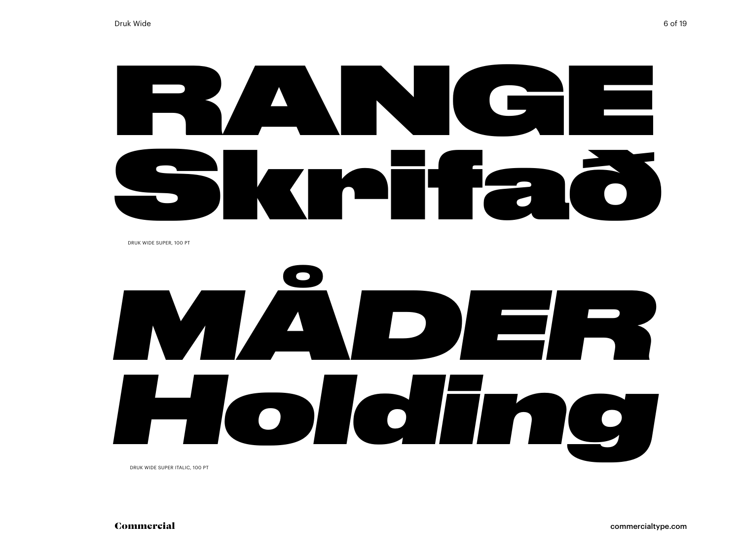# RANGE Skrifað

DRUK WIDE SUPER, 100 PT



DRUK WIDE SUPER ITALIC, 100 PT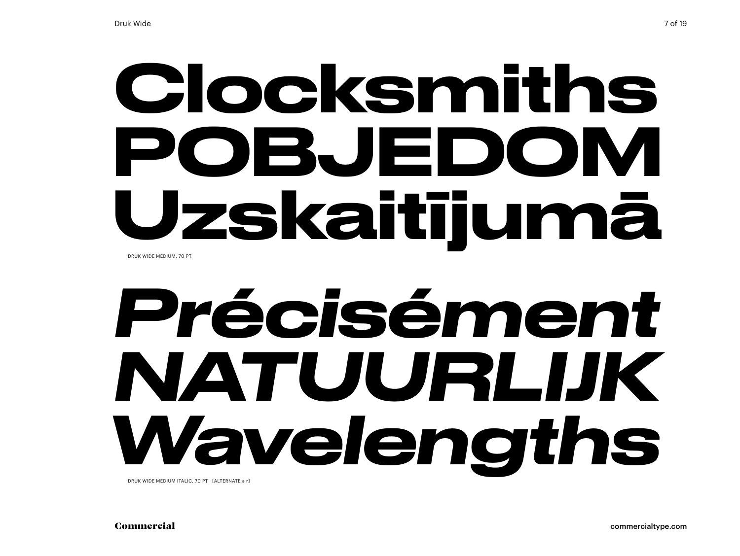# Clocksmiths POBJEDOM Uzskaitījumā DRUK WIDE MEDIUM, 70 PT

# Précisément NATUURLIK Wavelengths

DRUK WIDE MEDIUM ITALIC, 70 PT [ALTERNATE a r]

Commercial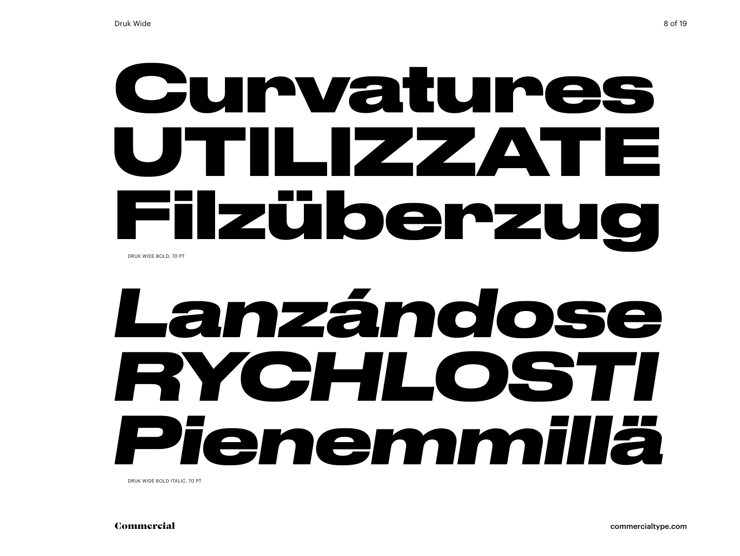### Curvatures UTILIZZATE **Filzüberzu** IOI DRUK WIDE BOLD, 70 PT

# Lanzándose RYCHLOSTI Pienemmillä

DRUK WIDE BOLD ITALIC. 70 PT

Commercial

8 of 19

commercialtype.com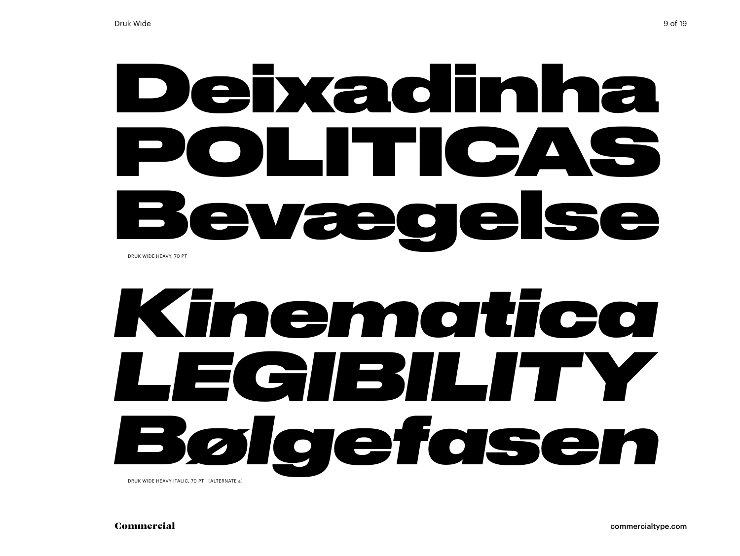# Deixadinha POLITICAS Bevægelse DRUK WIDE HEAVY, 70 PT

# *Kinematica LEGIBILITY Bølgefasen*

DRUK WIDE HEAVY ITALIC, 70 PT [ALTERNATE a]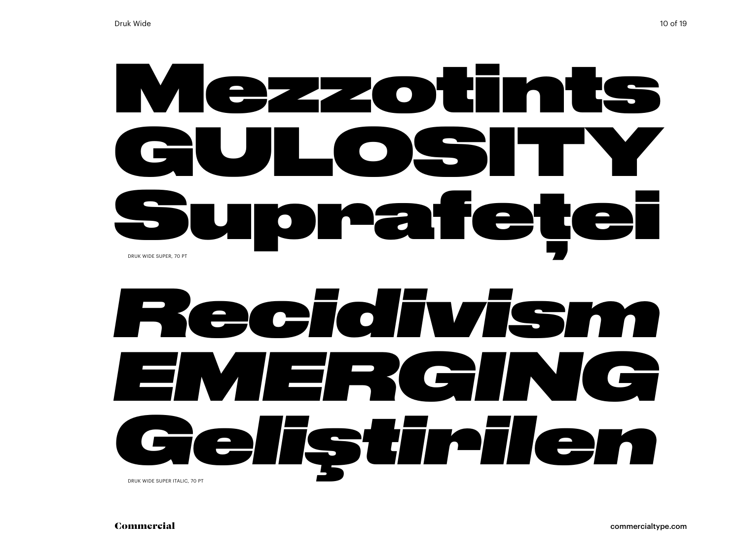# Mezzotints **GULOSITY** Suprafeței DRUK WIDE SUPER, 70 PT

# *Recidivism EMERGING Geliştirilen* DRUK WIDE SUPER ITALIC, 70 PT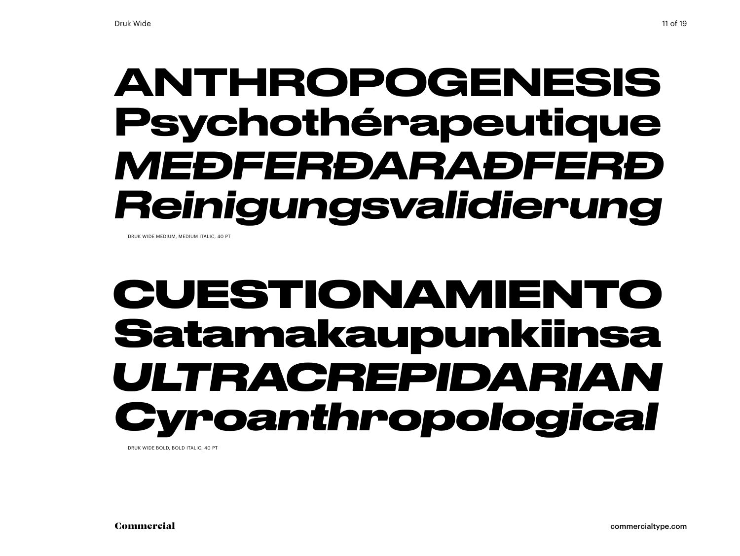## ANTHROPOGENESIS Psychothérapeutique *MEÐFERÐARAÐFERÐ Reinigungsvalidierung*

DRUK WIDE MEDIUM, MEDIUM ITALIC, 40 PT

## **CUESTIONAMIENTO Satamakaupunkiinsa** *ULTRACREPIDARIAN Cyroanthropological*

DRUK WIDE BOLD, BOLD ITALIC, 40 PT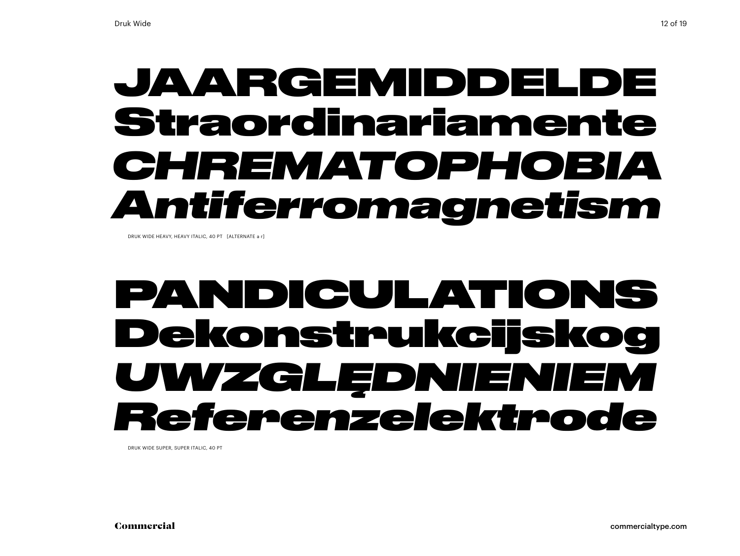## JAARGEMIDDELDE Straordinariamente *CHREMATOPHOBIA Antiferromagnetism*

DRUK WIDE HEAVY, HEAVY ITALIC, 40 PT [ALTERNATE a r]

### PANDICULATIONS Dekonstrukcijskog *UWZGLĘDNIENIEM Referenzelektrode*

DRUK WIDE SUPER, SUPER ITALIC, 40 PT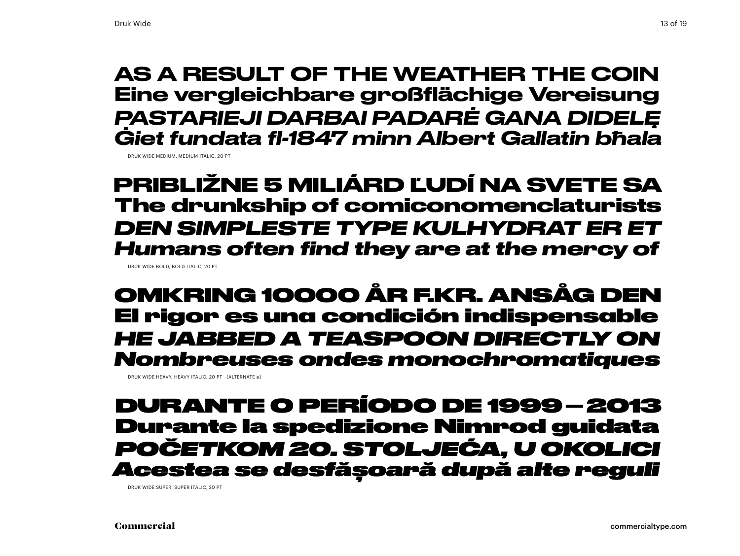#### AS A RESULT OF THE WEATHER THE COIN Eine vergleichbare großflächige Vereisung *PASTARIEJI DARBAI PADARĖ GANA DIDELĘ Ġiet fundata fl-1847 minn Albert Gallatin bħala*

DRUK WIDE MEDIUM, MEDIUM ITALIC, 20 PT

**PRIBLIŽNE 5 MILIÁRD ĽUDÍ NA SVETE SA The drunkship of comiconomenclaturists** *DEN SIMPLESTE TYPE KULHYDRAT ER ET Humans often find they are at the mercy of* DRUK WIDE BOLD, BOLD ITALIC, 20 PT

OMKRING 10000 ÅR F.KR. ANSÅG DEN El rigor es una condición indispensable *HE JABBED A TEASPOON DIRECTLY ON Nombreuses ondes monochromatiques*

DRUK WIDE HEAVY, HEAVY ITALIC, 20 PT [ALTERNATE a]

#### DURANTE O PERÍODO DE 1999–2013 Durante la spedizione Nimrod guidata *POČETKOM 20. STOLJEĆA, U OKOLICI Acestea se desfășoară după alte reguli*

DRUK WIDE SUPER, SUPER ITALIC, 20 PT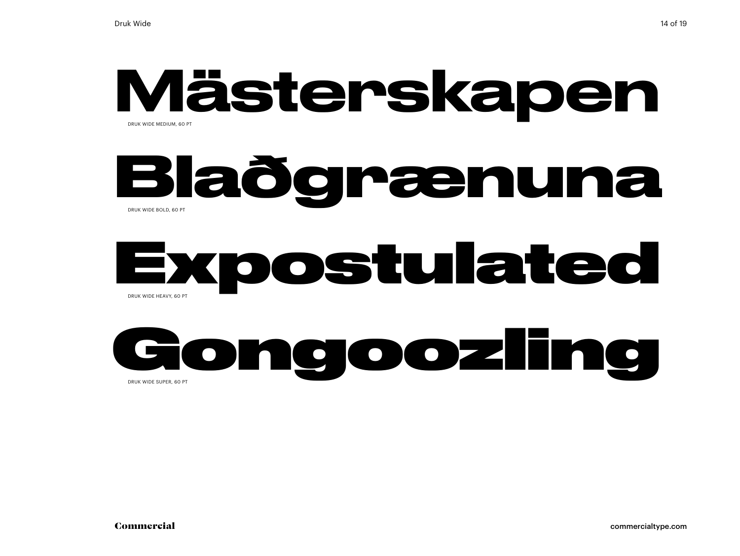#### Mästerskapen DRUK WIDE MEDIUM, 60 PT

### **Blaðgrænuna** DRUK WIDE BOLD, 60 PT

### Expostulated DRUK WIDE HEAVY, 60 PT

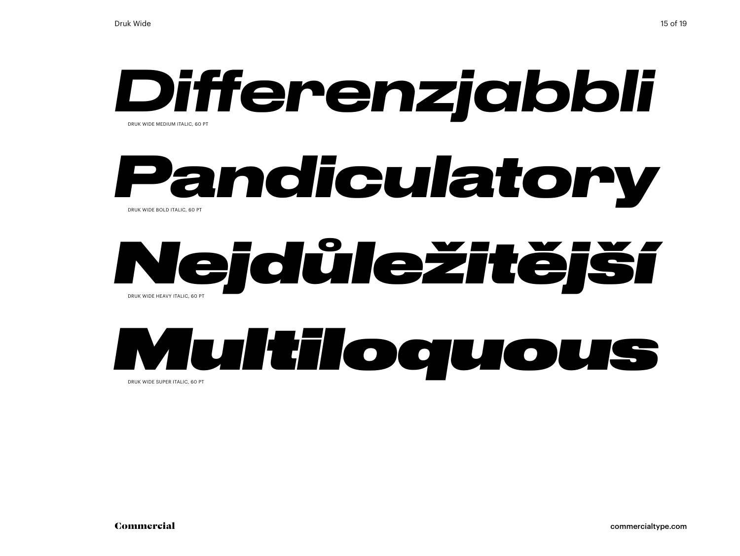### *Differenzjabbli* DRUK WIDE MEDIUM ITALIC, 60 PT

#### *Pandiculatory* DRUK WIDE BOLD ITALIC, 60 PT

### *Nejdůležitější* DRUK WIDE HEAVY ITALIC, 60 PT



DRUK WIDE SUPER ITALIC, 60 PT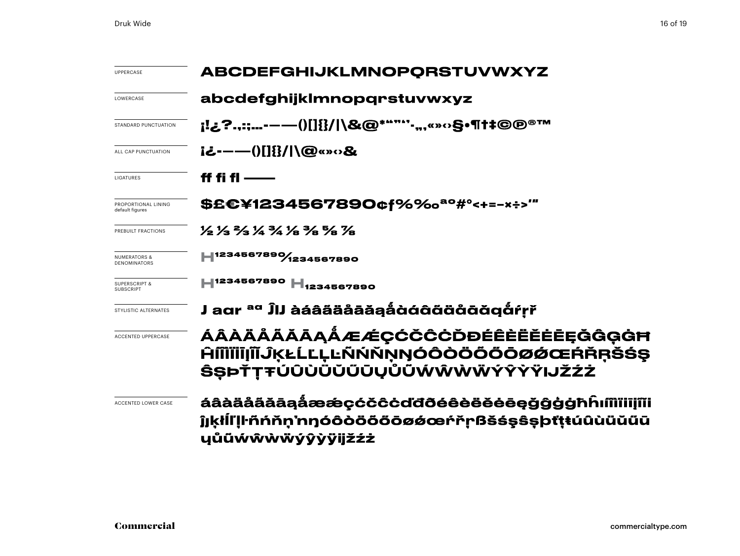| <b>UPPERCASE</b>                             | <b>ABCDEFGHIJKLMNOPQRSTUVWXYZ</b>                                                                                   |  |  |
|----------------------------------------------|---------------------------------------------------------------------------------------------------------------------|--|--|
| LOWERCASE                                    | abcdefghijklmnopqrstuvwxyz                                                                                          |  |  |
| STANDARD PUNCTUATION                         | ¡!¿?.,:;-——()[]{}/ \&@*""'''-",«»⇔§•¶†‡©@®™                                                                         |  |  |
| ALL CAP PUNCTUATION                          | i¿-----()[]{}/ \@«»o&                                                                                               |  |  |
| <b>LIGATURES</b>                             | ff fi fl ——                                                                                                         |  |  |
| PROPORTIONAL LINING<br>default figures       | \$£€¥1234567890¢f%‰ <sup>ao</sup> #°<+=-×÷>‴                                                                        |  |  |
| PREBUILT FRACTIONS                           | 1/2 1/3 2/3 1/4 1/8 3/8 7/8 1/8                                                                                     |  |  |
| NUMERATORS &<br><b>DENOMINATORS</b>          | LI234567890/1234567890                                                                                              |  |  |
| <b>SUPERSCRIPT &amp;</b><br><b>SUBSCRIPT</b> | H <sub>1234567890</sub> H <sub>1234567890</sub>                                                                     |  |  |
| STYLISTIC ALTERNATES                         | J aar <sup>aa</sup> ĴIJ àáâääåāăąåàáâãääåāāǧąåŕṛř                                                                   |  |  |
| <b>ACCENTED UPPERCASE</b>                    | ÁÂÀÄÅĂĂĀĄÅÆÆÇĆČĈĊĎĐÉÊÈËĔĖĒĘĞĜĢĠĦ<br><b>ĤÍĨĬĬĨIJĨŨĶŁĹĽĻĿÑŃŇŅŊÓÔŎŎŎŎŌØØŒŔŘŖŠŚŞ</b><br>ŜŞÞŤŢŦÚÛÙÜŬŨŪŲŮŨŴŴŴŴÝŶŸŸIJŽŹŻ   |  |  |
| ACCENTED LOWER CASE                          | áâàäåããāąåææçćčĉċďđðéêèëĕėēęǧĝģġħĥıíîìiīijĩĭi<br>ĵjkłİl'lŀñńňn'nŋóôòöööōøǿœŕřṛßšśşŝṣþťṭŧúûùüŭűū<br>ųůũẃŵẁẅýŷỳÿijžźż |  |  |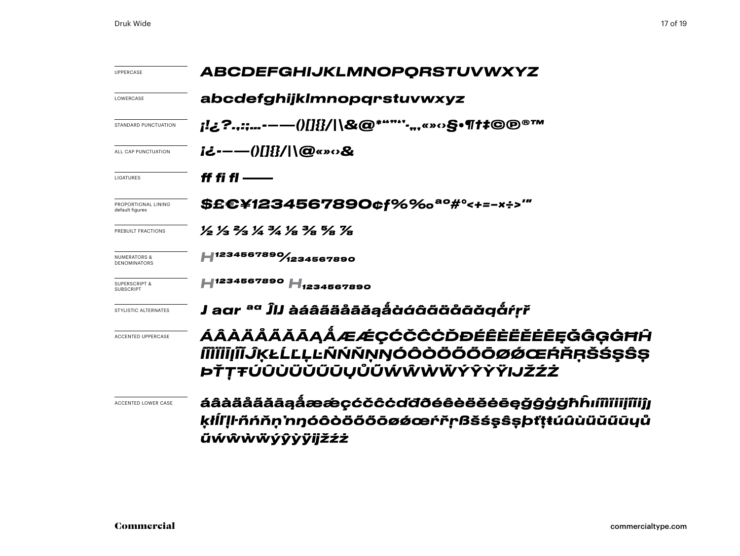| <b>UPPERCASE</b>                             | <b>ABCDEFGHIJKLMNOPQRSTUVWXYZ</b><br>abcdefghijklmnopqrstuvwxyz                                                     |  |  |
|----------------------------------------------|---------------------------------------------------------------------------------------------------------------------|--|--|
| LOWERCASE                                    |                                                                                                                     |  |  |
| STANDARD PUNCTUATION                         | ¡!¿?.,:;-—()[]{}/ \&@*""''·",«»○§•¶†‡©℗®™                                                                           |  |  |
| ALL CAP PUNCTUATION                          | i¿-----()[]{}/ \@«»‹›&                                                                                              |  |  |
| LIGATURES                                    | ff fi fl ——                                                                                                         |  |  |
| PROPORTIONAL LINING<br>default figures       | \$£€¥1234567890¢f%‰ª°#°<+=-×÷>‴                                                                                     |  |  |
| PREBUILT FRACTIONS                           | 1/2 1/3 2/3 1/4 1/8 3/8 5/8 7/8                                                                                     |  |  |
| NUMERATORS &<br>DENOMINATORS                 | H1234567890/1234567890                                                                                              |  |  |
| <b>SUPERSCRIPT &amp;</b><br><b>SUBSCRIPT</b> | H <sub>1234567890</sub> H <sub>1234567890</sub>                                                                     |  |  |
| STYLISTIC ALTERNATES                         | J aɑr <sup>aɑ</sup> ĴIJ àáâãäåāǎặậåàáâãäåāāä@åŕṛř                                                                   |  |  |
| <b>ACCENTED UPPERCASE</b>                    | ÁÂÀÄÅÄĂĀĄÅÆÆÇĆČĈĊĎĐÉÊÈËĔĒĘĞĜĢĠĦĤ<br><b>MIIIJĨĨĴĶŁĹĽĻĿÑŃŇŅŊÓÔÒÖŐŐŌØØŒŔŘŖŠŚŞŜŞ</b><br>ÞŤŢŦÚÛÙÜŬŰŨŲŮŨŴŴŴŴÝŶŶŸIJŽŹŻ     |  |  |
| <b>ACCENTED LOWER CASE</b>                   | áâàäåããāąåææçćčĉċďđðéêèëĕėeęǧĝģġħĥıíîìiiijîĭiĵj<br>ķłĪľ Iŀñńňṇ'nŋóôòöõőōøǿœŕřṛßšśşŝṣþťṭŧúûùüŭũūyů<br>ũẃŵẁẅýŷỳÿijžźż |  |  |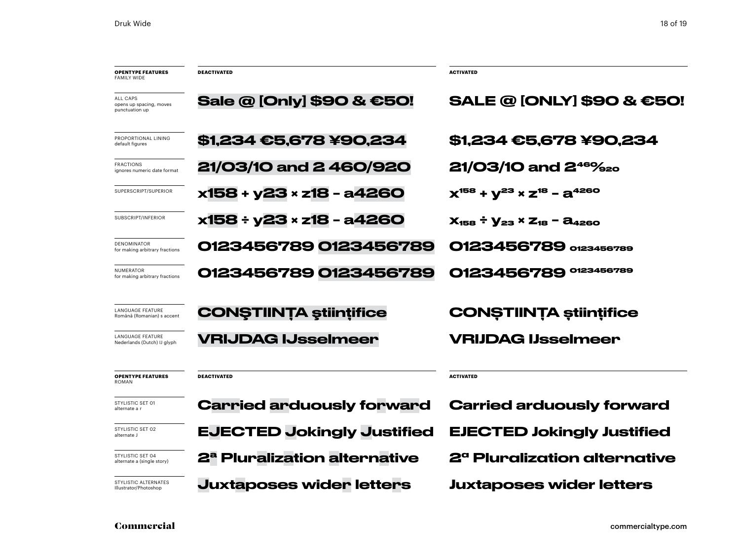| <b>OPENTYPE FEATURES</b><br><b>FAMILY WIDE</b>         | <b>DEACTIVATED</b>                       | <b>ACTIVATED</b>                               |
|--------------------------------------------------------|------------------------------------------|------------------------------------------------|
| ALL CAPS<br>opens up spacing, moves<br>punctuation up  | Sale @ [Only] \$90 & €50!                | <b>SALE @ [ONLY] \$90 &amp; €50!</b>           |
| PROPORTIONAL LINING<br>default figures                 | <b>\$1,234 €5,678 ¥90,234</b>            | <b>\$1,234 €5,678 ¥90,234</b>                  |
| <b>FRACTIONS</b><br>ignores numeric date format        | 21/03/10 and 2 460/920                   | <b>21/03/10 and 2<sup>46</sup>%</b> 20         |
| SUPERSCRIPT/SUPERIOR                                   | x158 + y23 × z18 - a4260                 | $X^{158} + V^{23} \times Z^{18} - Z^{4260}$    |
| SUBSCRIPT/INFERIOR                                     | x158 ÷ y23 × z18 - a4260                 | $X_{158} \div Y_{23} \times Z_{18} - Z_{4260}$ |
| <b>DENOMINATOR</b><br>for making arbitrary fractions   | 0123456789 0123456789                    | 0123456789 0123456789                          |
| <b>NUMERATOR</b><br>for making arbitrary fractions     | 0123456789 0123456789                    | 0123456789<br>0123456789                       |
| LANGUAGE FEATURE<br>Română (Romanian) s accent         | <b>CONSTIINTA stiintifice</b>            | <b>CONȘTIINȚA științifice</b>                  |
| <b>LANGUAGE FEATURE</b><br>Nederlands (Dutch) IJ glyph | <b>VRIJDAG IJsselmeer</b>                | <b>VRIJDAG IJsselmeer</b>                      |
| <b>OPENTYPE FEATURES</b><br><b>ROMAN</b>               | <b>DEACTIVATED</b>                       | <b>ACTIVATED</b>                               |
| STYLISTIC SET 01<br>alternate a r                      | <b>Carried arduously forward</b>         | <b>Carried arduously forward</b>               |
| STYLISTIC SET 02<br>alternate J                        | <b>EJECTED Jokingly Justified</b>        | <b>EJECTED Jokingly Justified</b>              |
| STYLISTIC SET 04<br>alternate a (single story)         | 2 <sup>a</sup> Pluralization alternative | 2 <sup>a</sup> Pluralization alternative       |
| STYLISTIC ALTERNATES<br>Illustrator/Photoshop          | <b>Juxtaposes wider letters</b>          | <b>Juxtaposes wider letters</b>                |